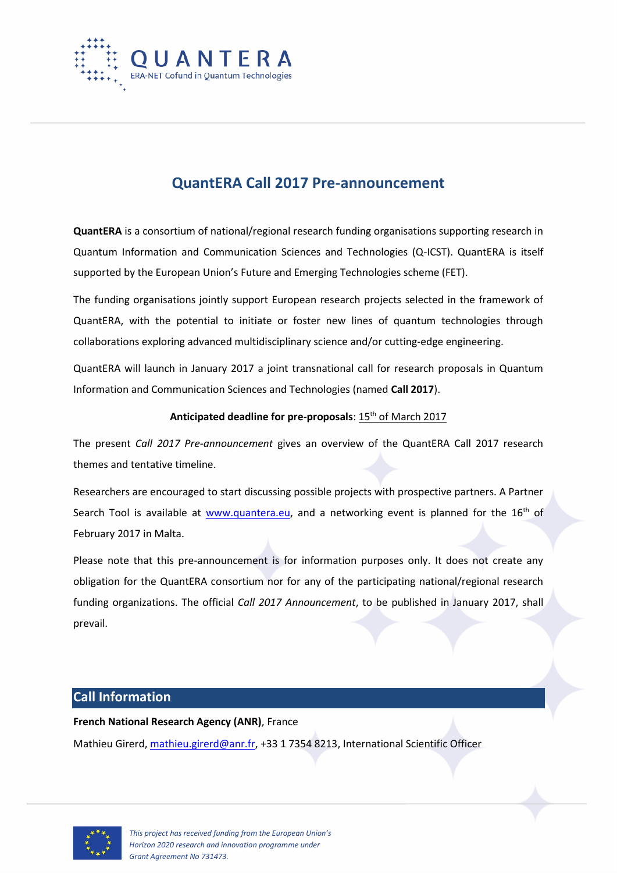

## **QuantERA Call 2017 Pre-announcement**

**QuantERA** is a consortium of national/regional research funding organisations supporting research in Quantum Information and Communication Sciences and Technologies (Q-ICST). QuantERA is itself supported by the European Union's Future and Emerging Technologies scheme (FET).

The funding organisations jointly support European research projects selected in the framework of QuantERA, with the potential to initiate or foster new lines of quantum technologies through collaborations exploring advanced multidisciplinary science and/or cutting-edge engineering.

QuantERA will launch in January 2017 a joint transnational call for research proposals in Quantum Information and Communication Sciences and Technologies (named **Call 2017**).

#### Anticipated deadline for pre-proposals: 15<sup>th</sup> of March 2017

The present *Call 2017 Pre-announcement* gives an overview of the QuantERA Call 2017 research themes and tentative timeline.

Researchers are encouraged to start discussing possible projects with prospective partners. A Partner Search Tool is available at [www.quantera.eu,](http://www.quantera.eu/) and a networking event is planned for the 16<sup>th</sup> of February 2017 in Malta.

Please note that this pre-announcement is for information purposes only. It does not create any obligation for the QuantERA consortium nor for any of the participating national/regional research funding organizations. The official *Call 2017 Announcement*, to be published in January 2017, shall prevail.

#### **Call Information**

#### **French National Research Agency (ANR)**, France

Mathieu Girerd, [mathieu.girerd@anr.fr,](mailto:mathieu.girerd@anr.fr) +33 1 7354 8213, International Scientific Officer

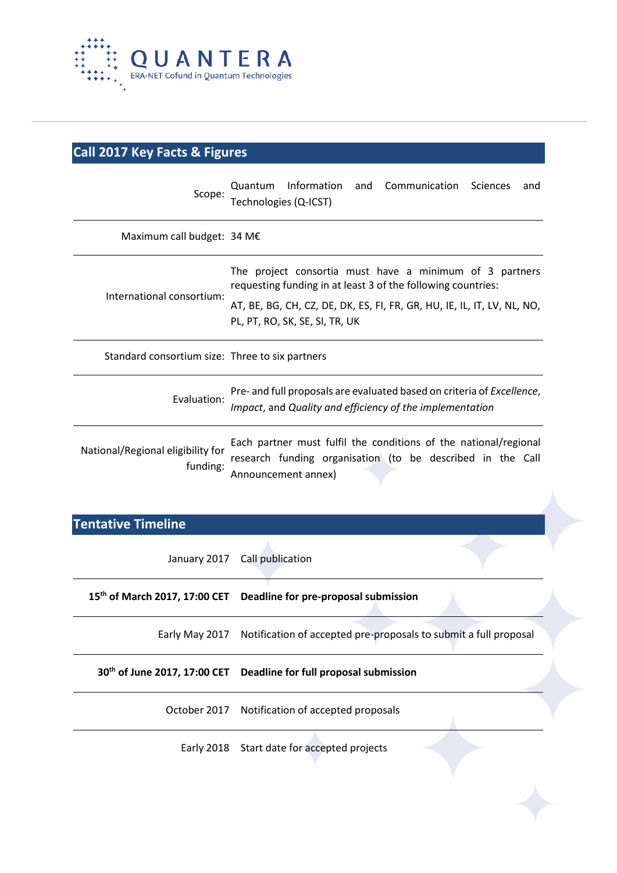

# **Call 2017 Key Facts & Figures**

| Scope:                                          | Information<br>and Communication Sciences<br>Quantum<br>and<br>Technologies (Q-ICST)                                                                                                                                                 |
|-------------------------------------------------|--------------------------------------------------------------------------------------------------------------------------------------------------------------------------------------------------------------------------------------|
| Maximum call budget: 34 M€                      |                                                                                                                                                                                                                                      |
| International consortium:                       | The project consortia must have a minimum of 3 partners<br>requesting funding in at least 3 of the following countries:<br>AT, BE, BG, CH, CZ, DE, DK, ES, FI, FR, GR, HU, IE, IL, IT, LV, NL, NO,<br>PL, PT, RO, SK, SE, SI, TR, UK |
| Standard consortium size: Three to six partners |                                                                                                                                                                                                                                      |
| Evaluation:                                     | Pre- and full proposals are evaluated based on criteria of <i>Excellence</i> ,<br>Impact, and Quality and efficiency of the implementation                                                                                           |
| National/Regional eligibility for<br>funding:   | Each partner must fulfil the conditions of the national/regional<br>research funding organisation (to be described in the Call<br>Announcement annex)                                                                                |

## **Tentative Timeline**

| January 2017 Call publication                                                   |
|---------------------------------------------------------------------------------|
| 15 <sup>th</sup> of March 2017, 17:00 CET Deadline for pre-proposal submission  |
| Early May 2017 Notification of accepted pre-proposals to submit a full proposal |
| 30 <sup>th</sup> of June 2017, 17:00 CET Deadline for full proposal submission  |
| October 2017 Notification of accepted proposals                                 |
| Early 2018 Start date for accepted projects                                     |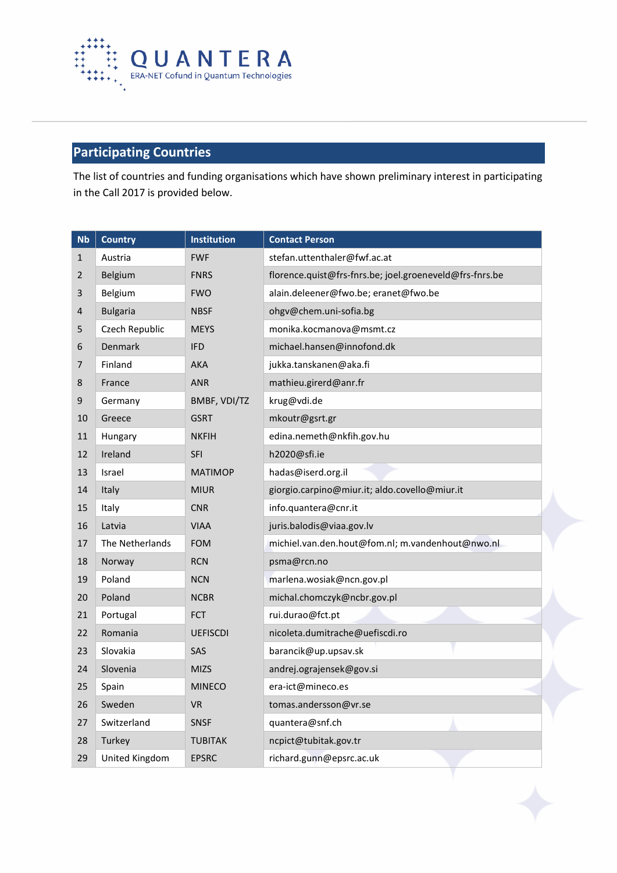

## **Participating Countries**

The list of countries and funding organisations which have shown preliminary interest in participating in the Call 2017 is provided below.

| <b>Nb</b>      | <b>Country</b>  | <b>Institution</b> | <b>Contact Person</b>                                   |
|----------------|-----------------|--------------------|---------------------------------------------------------|
| $\mathbf{1}$   | Austria         | <b>FWF</b>         | stefan.uttenthaler@fwf.ac.at                            |
| $\overline{2}$ | Belgium         | <b>FNRS</b>        | florence.quist@frs-fnrs.be; joel.groeneveld@frs-fnrs.be |
| 3              | Belgium         | <b>FWO</b>         | alain.deleener@fwo.be; eranet@fwo.be                    |
| 4              | <b>Bulgaria</b> | <b>NBSF</b>        | ohgv@chem.uni-sofia.bg                                  |
| 5              | Czech Republic  | <b>MEYS</b>        | monika.kocmanova@msmt.cz                                |
| 6              | <b>Denmark</b>  | <b>IFD</b>         | michael.hansen@innofond.dk                              |
| $\overline{7}$ | Finland         | <b>AKA</b>         | jukka.tanskanen@aka.fi                                  |
| 8              | France          | <b>ANR</b>         | mathieu.girerd@anr.fr                                   |
| 9              | Germany         | BMBF, VDI/TZ       | krug@vdi.de                                             |
| 10             | Greece          | <b>GSRT</b>        | mkoutr@gsrt.gr                                          |
| 11             | Hungary         | <b>NKFIH</b>       | edina.nemeth@nkfih.gov.hu                               |
| 12             | Ireland         | <b>SFI</b>         | h2020@sfi.ie                                            |
| 13             | Israel          | <b>MATIMOP</b>     | hadas@iserd.org.il                                      |
| 14             | Italy           | <b>MIUR</b>        | giorgio.carpino@miur.it; aldo.covello@miur.it           |
| 15             | Italy           | <b>CNR</b>         | info.quantera@cnr.it                                    |
| 16             | Latvia          | <b>VIAA</b>        | juris.balodis@viaa.gov.lv                               |
| 17             | The Netherlands | <b>FOM</b>         | michiel.van.den.hout@fom.nl; m.vandenhout@nwo.nl        |
| 18             | Norway          | <b>RCN</b>         | psma@rcn.no                                             |
| 19             | Poland          | <b>NCN</b>         | marlena.wosiak@ncn.gov.pl                               |
| 20             | Poland          | <b>NCBR</b>        | michal.chomczyk@ncbr.gov.pl                             |
| 21             | Portugal        | <b>FCT</b>         | rui.durao@fct.pt                                        |
| 22             | Romania         | <b>UEFISCDI</b>    | nicoleta.dumitrache@uefiscdi.ro                         |
| 23             | Slovakia        | <b>SAS</b>         | barancik@up.upsav.sk                                    |
| 24             | Slovenia        | <b>MIZS</b>        | andrej.ograjensek@gov.si                                |
| 25             | Spain           | <b>MINECO</b>      | era-ict@mineco.es                                       |
| 26             | Sweden          | <b>VR</b>          | tomas.andersson@vr.se                                   |
| 27             | Switzerland     | <b>SNSF</b>        | quantera@snf.ch                                         |
| 28             | Turkey          | <b>TUBITAK</b>     | ncpict@tubitak.gov.tr                                   |
| 29             | United Kingdom  | <b>EPSRC</b>       | richard.gunn@epsrc.ac.uk                                |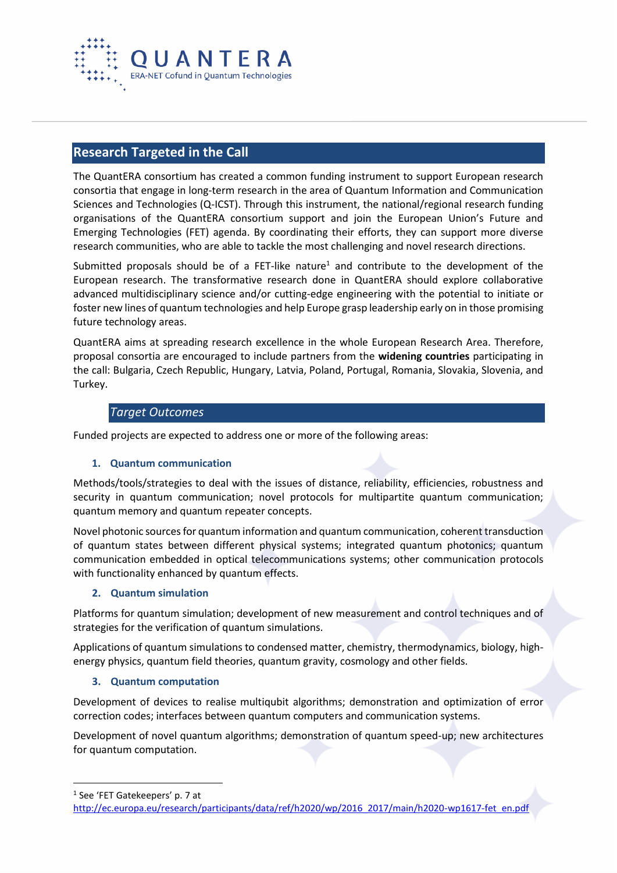

#### **Research Targeted in the Call**

The QuantERA consortium has created a common funding instrument to support European research consortia that engage in long-term research in the area of Quantum Information and Communication Sciences and Technologies (Q-ICST). Through this instrument, the national/regional research funding organisations of the QuantERA consortium support and join the European Union's Future and Emerging Technologies (FET) agenda. By coordinating their efforts, they can support more diverse research communities, who are able to tackle the most challenging and novel research directions.

Submitted proposals should be of a FET-like nature<sup>1</sup> and contribute to the development of the European research. The transformative research done in QuantERA should explore collaborative advanced multidisciplinary science and/or cutting-edge engineering with the potential to initiate or foster new lines of quantum technologies and help Europe grasp leadership early on in those promising future technology areas.

QuantERA aims at spreading research excellence in the whole European Research Area. Therefore, proposal consortia are encouraged to include partners from the **widening countries** participating in the call: Bulgaria, Czech Republic, Hungary, Latvia, Poland, Portugal, Romania, Slovakia, Slovenia, and Turkey.

#### *Target Outcomes*

Funded projects are expected to address one or more of the following areas:

#### **1. Quantum communication**

Methods/tools/strategies to deal with the issues of distance, reliability, efficiencies, robustness and security in quantum communication; novel protocols for multipartite quantum communication; quantum memory and quantum repeater concepts.

Novel photonic sources for quantum information and quantum communication, coherent transduction of quantum states between different physical systems; integrated quantum photonics; quantum communication embedded in optical telecommunications systems; other communication protocols with functionality enhanced by quantum effects.

#### **2. Quantum simulation**

Platforms for quantum simulation; development of new measurement and control techniques and of strategies for the verification of quantum simulations.

Applications of quantum simulations to condensed matter, chemistry, thermodynamics, biology, highenergy physics, quantum field theories, quantum gravity, cosmology and other fields.

#### **3. Quantum computation**

Development of devices to realise multiqubit algorithms; demonstration and optimization of error correction codes; interfaces between quantum computers and communication systems.

Development of novel quantum algorithms; demonstration of quantum speed-up; new architectures for quantum computation.

 $\overline{a}$ 

<sup>1</sup> See 'FET Gatekeepers' p. 7 at

[http://ec.europa.eu/research/participants/data/ref/h2020/wp/2016\\_2017/main/h2020-wp1617-fet\\_en.pdf](http://ec.europa.eu/research/participants/data/ref/h2020/wp/2016_2017/main/h2020-wp1617-fet_en.pdf)